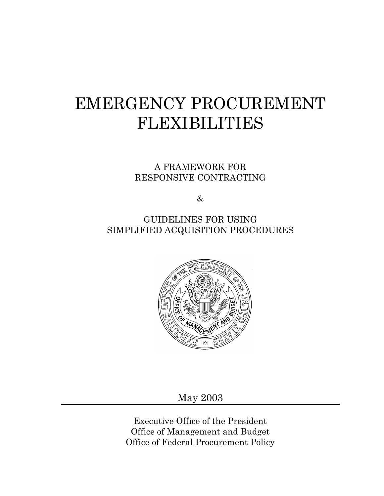# EMERGENCY PROCUREMENT FLEXIBILITIES

A FRAMEWORK FOR RESPONSIVE CONTRACTING

 $\&$ 

GUIDELINES FOR USING SIMPLIFIED ACQUISITION PROCEDURES



May 2003

Executive Office of the President Office of Management and Budget Office of Federal Procurement Policy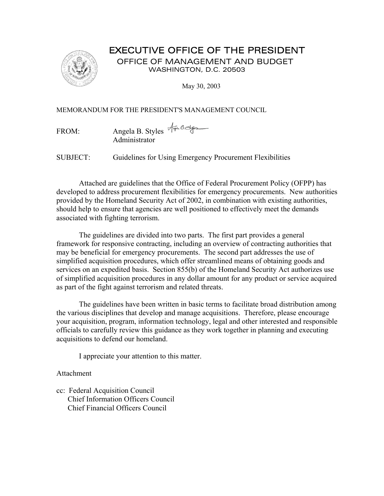#### EXECUTIVE OFFICE OF THE PRESIDENT



 OFFICE OF MANAGEMENT AND BUDGET WASHINGTON, D.C. 20503

May 30, 2003

MEMORANDUM FOR THE PRESIDENT'S MANAGEMENT COUNCIL

FROM: Angela B. Styles And Administrator

SUBJECT: Guidelines for Using Emergency Procurement Flexibilities

Attached are guidelines that the Office of Federal Procurement Policy (OFPP) has developed to address procurement flexibilities for emergency procurements. New authorities provided by the Homeland Security Act of 2002, in combination with existing authorities, should help to ensure that agencies are well positioned to effectively meet the demands associated with fighting terrorism.

The guidelines are divided into two parts. The first part provides a general framework for responsive contracting, including an overview of contracting authorities that may be beneficial for emergency procurements. The second part addresses the use of simplified acquisition procedures, which offer streamlined means of obtaining goods and services on an expedited basis. Section 855(b) of the Homeland Security Act authorizes use of simplified acquisition procedures in any dollar amount for any product or service acquired as part of the fight against terrorism and related threats.

The guidelines have been written in basic terms to facilitate broad distribution among the various disciplines that develop and manage acquisitions. Therefore, please encourage your acquisition, program, information technology, legal and other interested and responsible officials to carefully review this guidance as they work together in planning and executing acquisitions to defend our homeland.

I appreciate your attention to this matter.

Attachment

cc: Federal Acquisition Council Chief Information Officers Council Chief Financial Officers Council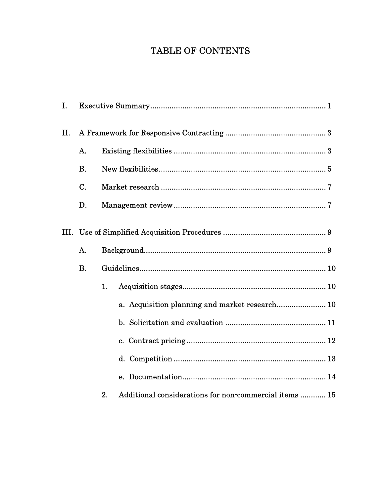## TABLE OF CONTENTS

| Ι.   |           |    |                                                        |  |  |  |
|------|-----------|----|--------------------------------------------------------|--|--|--|
| II.  |           |    |                                                        |  |  |  |
|      | A.        |    |                                                        |  |  |  |
|      | <b>B.</b> |    |                                                        |  |  |  |
|      | C.        |    |                                                        |  |  |  |
|      | D.        |    |                                                        |  |  |  |
| III. |           |    |                                                        |  |  |  |
|      | A.        |    |                                                        |  |  |  |
|      | <b>B.</b> |    |                                                        |  |  |  |
|      |           | 1. |                                                        |  |  |  |
|      |           |    | a. Acquisition planning and market research 10         |  |  |  |
|      |           |    |                                                        |  |  |  |
|      |           |    |                                                        |  |  |  |
|      |           |    |                                                        |  |  |  |
|      |           |    |                                                        |  |  |  |
|      |           | 2. | Additional considerations for non-commercial items  15 |  |  |  |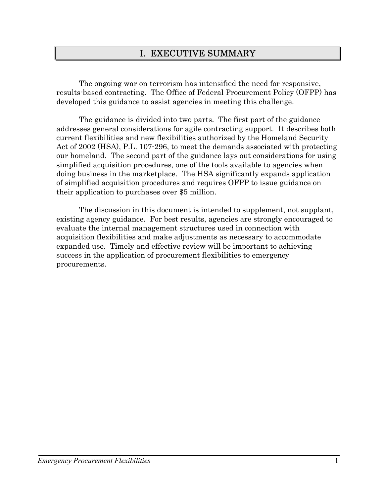### I. EXECUTIVE SUMMARY

 The ongoing war on terrorism has intensified the need for responsive, results-based contracting. The Office of Federal Procurement Policy (OFPP) has developed this guidance to assist agencies in meeting this challenge.

The guidance is divided into two parts. The first part of the guidance addresses general considerations for agile contracting support. It describes both current flexibilities and new flexibilities authorized by the Homeland Security Act of 2002 (HSA), P.L. 107-296, to meet the demands associated with protecting our homeland. The second part of the guidance lays out considerations for using simplified acquisition procedures, one of the tools available to agencies when doing business in the marketplace. The HSA significantly expands application of simplified acquisition procedures and requires OFPP to issue guidance on their application to purchases over \$5 million.

The discussion in this document is intended to supplement, not supplant, existing agency guidance. For best results, agencies are strongly encouraged to evaluate the internal management structures used in connection with acquisition flexibilities and make adjustments as necessary to accommodate expanded use. Timely and effective review will be important to achieving success in the application of procurement flexibilities to emergency procurements.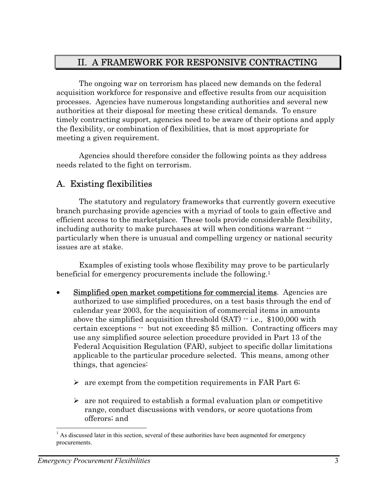## II. A FRAMEWORK FOR RESPONSIVE CONTRACTING

The ongoing war on terrorism has placed new demands on the federal acquisition workforce for responsive and effective results from our acquisition processes. Agencies have numerous longstanding authorities and several new authorities at their disposal for meeting these critical demands. To ensure timely contracting support, agencies need to be aware of their options and apply the flexibility, or combination of flexibilities, that is most appropriate for meeting a given requirement.

Agencies should therefore consider the following points as they address needs related to the fight on terrorism.

## A. Existing flexibilities

The statutory and regulatory frameworks that currently govern executive branch purchasing provide agencies with a myriad of tools to gain effective and efficient access to the marketplace. These tools provide considerable flexibility, including authority to make purchases at will when conditions warrant  $\cdot$ particularly when there is unusual and compelling urgency or national security issues are at stake.

Examples of existing tools whose flexibility may prove to be particularly beneficial for emergency procurements include the following.[1](#page-5-0)

- Simplified open market competitions for commercial items. Agencies are authorized to use simplified procedures, on a test basis through the end of calendar year 2003, for the acquisition of commercial items in amounts above the simplified acquisition threshold  $(SAT) - i.e., $100,000$  with certain exceptions -- but not exceeding \$5 million. Contracting officers may use any simplified source selection procedure provided in Part 13 of the Federal Acquisition Regulation (FAR), subject to specific dollar limitations applicable to the particular procedure selected. This means, among other things, that agencies:
	- $\triangleright$  are exempt from the competition requirements in FAR Part 6;
	- $\triangleright$  are not required to establish a formal evaluation plan or competitive range, conduct discussions with vendors, or score quotations from offerors; and

 $\overline{a}$ 

<span id="page-5-0"></span> $<sup>1</sup>$  As discussed later in this section, several of these authorities have been augmented for emergency</sup> procurements.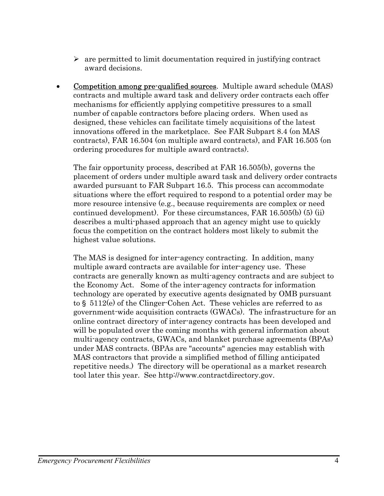- $\triangleright$  are permitted to limit documentation required in justifying contract award decisions.
- Competition among pre-qualified sources. Multiple award schedule (MAS) contracts and multiple award task and delivery order contracts each offer mechanisms for efficiently applying competitive pressures to a small number of capable contractors before placing orders. When used as designed, these vehicles can facilitate timely acquisitions of the latest innovations offered in the marketplace. See FAR Subpart 8.4 (on MAS contracts), FAR 16.504 (on multiple award contracts), and FAR 16.505 (on ordering procedures for multiple award contracts).

The fair opportunity process, described at FAR 16.505(b), governs the placement of orders under multiple award task and delivery order contracts awarded pursuant to FAR Subpart 16.5. This process can accommodate situations where the effort required to respond to a potential order may be more resource intensive (e.g., because requirements are complex or need continued development). For these circumstances, FAR  $16.505(b)$  (5) (ii) describes a multi-phased approach that an agency might use to quickly focus the competition on the contract holders most likely to submit the highest value solutions.

The MAS is designed for inter-agency contracting. In addition, many multiple award contracts are available for inter-agency use. These contracts are generally known as multi-agency contracts and are subject to the Economy Act. Some of the inter-agency contracts for information technology are operated by executive agents designated by OMB pursuant to  $\S$  5112(e) of the Clinger-Cohen Act. These vehicles are referred to as government-wide acquisition contracts (GWACs). The infrastructure for an online contract directory of inter-agency contracts has been developed and will be populated over the coming months with general information about multi-agency contracts, GWACs, and blanket purchase agreements (BPAs) under MAS contracts. (BPAs are "accounts" agencies may establish with MAS contractors that provide a simplified method of filling anticipated repetitive needs.) The directory will be operational as a market research tool later this year. See http://www.contractdirectory.gov.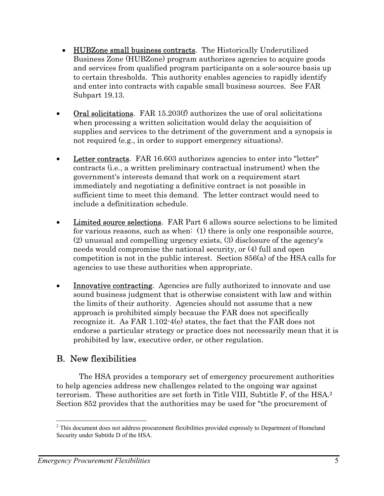- HUBZone small business contracts. The Historically Underutilized Business Zone (HUBZone) program authorizes agencies to acquire goods and services from qualified program participants on a sole-source basis up to certain thresholds. This authority enables agencies to rapidly identify and enter into contracts with capable small business sources. See FAR Subpart 19.13.
- Oral solicitations. FAR 15.203 $(f)$  authorizes the use of oral solicitations when processing a written solicitation would delay the acquisition of supplies and services to the detriment of the government and a synopsis is not required (e.g., in order to support emergency situations).
- Letter contracts. FAR 16.603 authorizes agencies to enter into "letter" contracts (i.e., a written preliminary contractual instrument) when the government's interests demand that work on a requirement start immediately and negotiating a definitive contract is not possible in sufficient time to meet this demand. The letter contract would need to include a definitization schedule.
- Limited source selections. FAR Part 6 allows source selections to be limited for various reasons, such as when: (1) there is only one responsible source, (2) unusual and compelling urgency exists, (3) disclosure of the agency's needs would compromise the national security, or (4) full and open competition is not in the public interest. Section 856(a) of the HSA calls for agencies to use these authorities when appropriate.
- Innovative contracting. Agencies are fully authorized to innovate and use sound business judgment that is otherwise consistent with law and within the limits of their authority. Agencies should not assume that a new approach is prohibited simply because the FAR does not specifically recognize it. As FAR 1.102-4(e) states, the fact that the FAR does not endorse a particular strategy or practice does not necessarily mean that it is prohibited by law, executive order, or other regulation.

#### B. New flexibilities

The HSA provides a temporary set of emergency procurement authorities to help agencies address new challenges related to the ongoing war against terrorism. These authorities are set forth in Title VIII, Subtitle F, of the HSA.[2](#page-7-0)  Section 852 provides that the authorities may be used for "the procurement of

<span id="page-7-0"></span><sup>&</sup>lt;sup>2</sup> This document does not address procurement flexibilities provided expressly to Department of Homeland Security under Subtitle D of the HSA.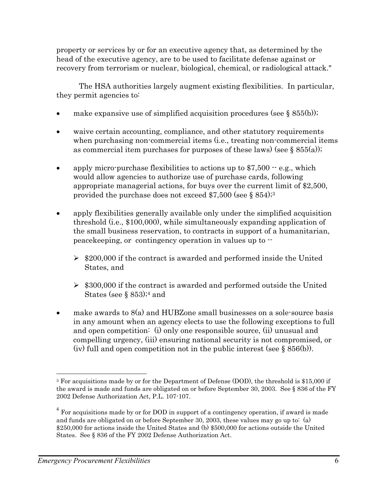property or services by or for an executive agency that, as determined by the head of the executive agency, are to be used to facilitate defense against or recovery from terrorism or nuclear, biological, chemical, or radiological attack."

The HSA authorities largely augment existing flexibilities. In particular, they permit agencies to:

- make expansive use of simplified acquisition procedures (see  $\S$  855(b));
- waive certain accounting, compliance, and other statutory requirements when purchasing non-commercial items (i.e., treating non-commercial items as commercial item purchases for purposes of these laws) (see  $\S$  855(a));
- apply micro-purchase flexibilities to actions up to  $$7,500 e.g., which$ would allow agencies to authorize use of purchase cards, following appropriate managerial actions, for buys over the current limit of \$2,500, provided the purchase does not exceed \$7,500 (see § 854)[;3](#page-8-0)
- apply flexibilities generally available only under the simplified acquisition threshold (i.e., \$100,000), while simultaneously expanding application of the small business reservation, to contracts in support of a humanitarian, peacekeeping, or contingency operation in values up to --
	- $\geq$  \$200,000 if the contract is awarded and performed inside the United States, and
	- $\geq$  \$300,000 if the contract is awarded and performed outside the United States (see  $\S$  853);<sup>4</sup> and
- make awards to 8(a) and HUBZone small businesses on a sole-source basis in any amount when an agency elects to use the following exceptions to full and open competition: (i) only one responsible source, (ii) unusual and compelling urgency, (iii) ensuring national security is not compromised, or (iv) full and open competition not in the public interest (see  $\S$  856(b)).

 $\overline{a}$ 

<span id="page-8-0"></span><sup>&</sup>lt;sup>3</sup> For acquisitions made by or for the Department of Defense (DOD), the threshold is \$15,000 if the award is made and funds are obligated on or before September 30, 2003. See § 836 of the FY 2002 Defense Authorization Act, P.L. 107-107.

<span id="page-8-1"></span><sup>&</sup>lt;sup>4</sup> For acquisitions made by or for DOD in support of a contingency operation, if award is made and funds are obligated on or before September 30, 2003, these values may go up to: (a) \$250,000 for actions inside the United States and (b) \$500,000 for actions outside the United States. See § 836 of the FY 2002 Defense Authorization Act.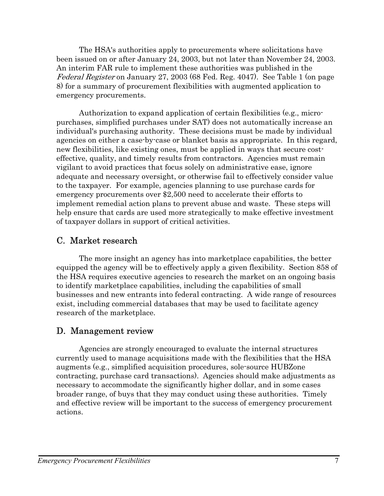The HSA's authorities apply to procurements where solicitations have been issued on or after January 24, 2003, but not later than November 24, 2003. An interim FAR rule to implement these authorities was published in the Federal Register on January 27, 2003 (68 Fed. Reg. 4047). See Table 1 (on page 8) for a summary of procurement flexibilities with augmented application to emergency procurements.

Authorization to expand application of certain flexibilities (e.g., micropurchases, simplified purchases under SAT) does not automatically increase an individual's purchasing authority. These decisions must be made by individual agencies on either a case-by-case or blanket basis as appropriate. In this regard, new flexibilities, like existing ones, must be applied in ways that secure costeffective, quality, and timely results from contractors. Agencies must remain vigilant to avoid practices that focus solely on administrative ease, ignore adequate and necessary oversight, or otherwise fail to effectively consider value to the taxpayer. For example, agencies planning to use purchase cards for emergency procurements over \$2,500 need to accelerate their efforts to implement remedial action plans to prevent abuse and waste. These steps will help ensure that cards are used more strategically to make effective investment of taxpayer dollars in support of critical activities.

#### C. Market research

 The more insight an agency has into marketplace capabilities, the better equipped the agency will be to effectively apply a given flexibility. Section 858 of the HSA requires executive agencies to research the market on an ongoing basis to identify marketplace capabilities, including the capabilities of small businesses and new entrants into federal contracting. A wide range of resources exist, including commercial databases that may be used to facilitate agency research of the marketplace.

#### D. Management review

Agencies are strongly encouraged to evaluate the internal structures currently used to manage acquisitions made with the flexibilities that the HSA augments (e.g., simplified acquisition procedures, sole-source HUBZone contracting, purchase card transactions). Agencies should make adjustments as necessary to accommodate the significantly higher dollar, and in some cases broader range, of buys that they may conduct using these authorities. Timely and effective review will be important to the success of emergency procurement actions.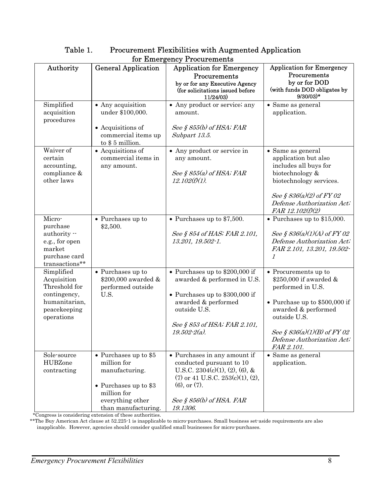|                                                                                                           |                                                                                                                                             | tor ramergency i rocurements                                                                                                                                                                              |                                                                                                                                                                                                                           |
|-----------------------------------------------------------------------------------------------------------|---------------------------------------------------------------------------------------------------------------------------------------------|-----------------------------------------------------------------------------------------------------------------------------------------------------------------------------------------------------------|---------------------------------------------------------------------------------------------------------------------------------------------------------------------------------------------------------------------------|
| Authority                                                                                                 | <b>General Application</b>                                                                                                                  | <b>Application for Emergency</b><br>Procurements<br>by or for any Executive Agency<br>(for solicitations issued before<br>11/24/03)                                                                       | <b>Application for Emergency</b><br>Procurements<br>by or for DOD<br>(with funds DOD obligates by<br>$9/30/03)*$                                                                                                          |
| Simplified<br>acquisition<br>procedures                                                                   | • Any acquisition<br>under \$100,000.<br>• Acquisitions of<br>commercial items up<br>to $$5$ million.                                       | • Any product or service; any<br>amount.<br>See § $855(b)$ of HSA; FAR<br>Subpart 13.5.                                                                                                                   | • Same as general<br>application.                                                                                                                                                                                         |
| Waiver of<br>certain<br>accounting,<br>compliance &<br>other laws                                         | • Acquisitions of<br>commercial items in<br>any amount.                                                                                     | • Any product or service in<br>any amount.<br>See $\S 855(a)$ of HSA; FAR<br>$12.102(f)(1)$ .                                                                                                             | • Same as general<br>application but also<br>includes all buys for<br>biotechnology &<br>biotechnology services.<br>See § $836(a)(2)$ of FY 02<br>Defense Authorization Act;<br>FAR 12.102(f)(2)                          |
| Micro-<br>purchase<br>authority --<br>e.g., for open<br>market<br>purchase card<br>transactions**         | • Purchases up to<br>\$2,500.                                                                                                               | • Purchases up to $$7,500$ .<br>See § 854 of HAS; FAR 2.101,<br>13.201, 19.502-1.                                                                                                                         | $\bullet$ Purchases up to \$15,000.<br>See § $836(a)(1)(A)$ of FY 02<br>Defense Authorization Act;<br>FAR 2.101, 13.201, 19.502-<br>$\mathcal I$                                                                          |
| Simplified<br>Acquisition<br>Threshold for<br>contingency,<br>humanitarian,<br>peacekeeping<br>operations | $\bullet$ Purchases up to<br>\$200,000 awarded &<br>performed outside<br>U.S.                                                               | • Purchases up to $$200,000$ if<br>awarded & performed in U.S.<br>• Purchases up to $$300,000$ if<br>awarded & performed<br>outside U.S.<br>See § 853 of HSA; FAR 2.101,<br>$19.502 - 2(a)$ .             | • Procurements up to<br>\$250,000 if awarded &<br>performed in U.S.<br>• Purchase up to $$500,000$ if<br>awarded & performed<br>outside U.S.<br>See § $836(a)(1)(B)$ of FY 02<br>Defense Authorization Act;<br>FAR 2.101. |
| Sole-source<br>HUBZone<br>contracting                                                                     | • Purchases up to $$5$<br>million for<br>manufacturing.<br>• Purchases up to $$3$<br>million for<br>everything other<br>than manufacturing. | • Purchases in any amount if<br>conducted pursuant to 10<br>U.S.C. $2304(c)(1)$ , $(2)$ , $(6)$ , &<br>$(7)$ or 41 U.S.C. 253(c)(1), (2),<br>$(6)$ , or $(7)$ .<br>See § $856(b)$ of HSA. FAR<br>19.1306. | • Same as general<br>application.                                                                                                                                                                                         |

#### Table 1. Procurement Flexibilities with Augmented Application for Emergency Procurements

\*Congress is considering extension of these authorities.

\*\*The Buy American Act clause at 52.225-1 is inapplicable to micro-purchases. Small business set-aside requirements are also

inapplicable. However, agencies should consider qualified small businesses for micro-purchases.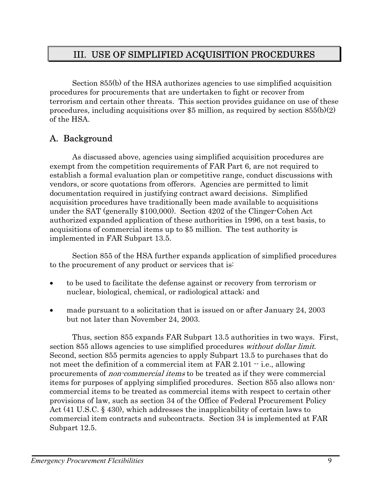## III. USE OF SIMPLIFIED ACQUISITION PROCEDURES

Section 855(b) of the HSA authorizes agencies to use simplified acquisition procedures for procurements that are undertaken to fight or recover from terrorism and certain other threats. This section provides guidance on use of these procedures, including acquisitions over \$5 million, as required by section  $855(b)(2)$ of the HSA.

## A. Background

As discussed above, agencies using simplified acquisition procedures are exempt from the competition requirements of FAR Part 6, are not required to establish a formal evaluation plan or competitive range, conduct discussions with vendors, or score quotations from offerors. Agencies are permitted to limit documentation required in justifying contract award decisions. Simplified acquisition procedures have traditionally been made available to acquisitions under the SAT (generally \$100,000). Section 4202 of the Clinger-Cohen Act authorized expanded application of these authorities in 1996, on a test basis, to acquisitions of commercial items up to \$5 million. The test authority is implemented in FAR Subpart 13.5.

Section 855 of the HSA further expands application of simplified procedures to the procurement of any product or services that is:

- to be used to facilitate the defense against or recovery from terrorism or nuclear, biological, chemical, or radiological attack; and
- made pursuant to a solicitation that is issued on or after January 24, 2003 but not later than November 24, 2003.

Thus, section 855 expands FAR Subpart 13.5 authorities in two ways. First, section 855 allows agencies to use simplified procedures *without dollar limit*. Second, section 855 permits agencies to apply Subpart 13.5 to purchases that do not meet the definition of a commercial item at FAR  $2.101 - i.e.,$  allowing procurements of non-commercial items to be treated as if they were commercial items for purposes of applying simplified procedures. Section 855 also allows noncommercial items to be treated as commercial items with respect to certain other provisions of law, such as section 34 of the Office of Federal Procurement Policy Act (41 U.S.C. § 430), which addresses the inapplicability of certain laws to commercial item contracts and subcontracts. Section 34 is implemented at FAR Subpart 12.5.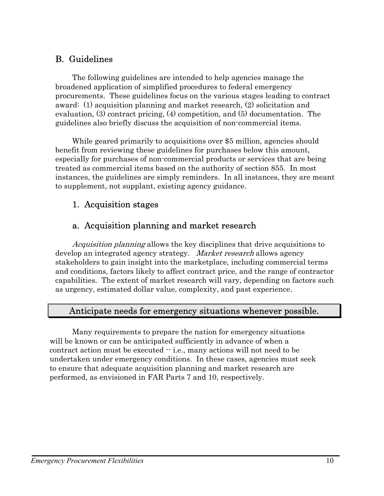## B. Guidelines

The following guidelines are intended to help agencies manage the broadened application of simplified procedures to federal emergency procurements. These guidelines focus on the various stages leading to contract award: (1) acquisition planning and market research, (2) solicitation and evaluation, (3) contract pricing, (4) competition, and (5) documentation. The guidelines also briefly discuss the acquisition of non-commercial items.

While geared primarily to acquisitions over \$5 million, agencies should benefit from reviewing these guidelines for purchases below this amount, especially for purchases of non-commercial products or services that are being treated as commercial items based on the authority of section 855. In most instances, the guidelines are simply reminders. In all instances, they are meant to supplement, not supplant, existing agency guidance.

## 1. Acquisition stages

## a. Acquisition planning and market research

 Acquisition planning allows the key disciplines that drive acquisitions to develop an integrated agency strategy. Market research allows agency stakeholders to gain insight into the marketplace, including commercial terms and conditions, factors likely to affect contract price, and the range of contractor capabilities. The extent of market research will vary, depending on factors such as urgency, estimated dollar value, complexity, and past experience.

## Anticipate needs for emergency situations whenever possible.

Many requirements to prepare the nation for emergency situations will be known or can be anticipated sufficiently in advance of when a contract action must be executed  $\cdot$  i.e., many actions will not need to be undertaken under emergency conditions. In these cases, agencies must seek to ensure that adequate acquisition planning and market research are performed, as envisioned in FAR Parts 7 and 10, respectively.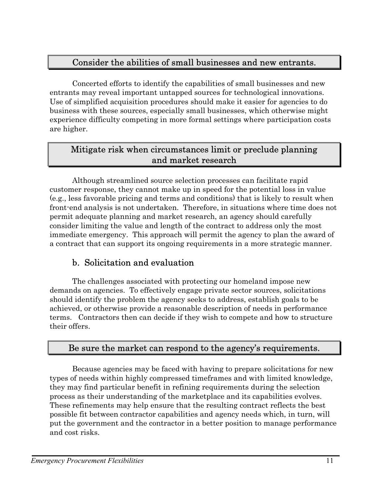#### Consider the abilities of small businesses and new entrants.

Concerted efforts to identify the capabilities of small businesses and new entrants may reveal important untapped sources for technological innovations. Use of simplified acquisition procedures should make it easier for agencies to do business with these sources, especially small businesses, which otherwise might experience difficulty competing in more formal settings where participation costs are higher.

#### Mitigate risk when circumstances limit or preclude planning and market research

Although streamlined source selection processes can facilitate rapid customer response, they cannot make up in speed for the potential loss in value (e.g., less favorable pricing and terms and conditions) that is likely to result when front-end analysis is not undertaken. Therefore, in situations where time does not permit adequate planning and market research, an agency should carefully consider limiting the value and length of the contract to address only the most immediate emergency. This approach will permit the agency to plan the award of a contract that can support its ongoing requirements in a more strategic manner.

## b. Solicitation and evaluation

The challenges associated with protecting our homeland impose new demands on agencies. To effectively engage private sector sources, solicitations should identify the problem the agency seeks to address, establish goals to be achieved, or otherwise provide a reasonable description of needs in performance terms. Contractors then can decide if they wish to compete and how to structure their offers.

#### Be sure the market can respond to the agency's requirements.

Because agencies may be faced with having to prepare solicitations for new types of needs within highly compressed timeframes and with limited knowledge, they may find particular benefit in refining requirements during the selection process as their understanding of the marketplace and its capabilities evolves. These refinements may help ensure that the resulting contract reflects the best possible fit between contractor capabilities and agency needs which, in turn, will put the government and the contractor in a better position to manage performance and cost risks.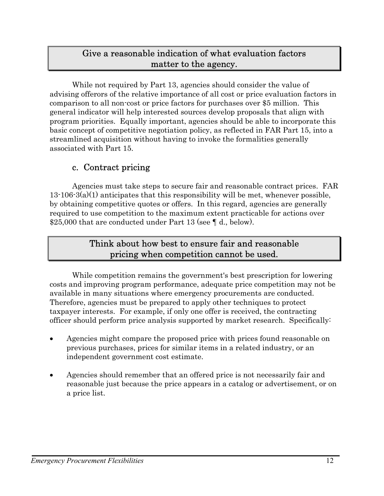#### Give a reasonable indication of what evaluation factors matter to the agency.

While not required by Part 13, agencies should consider the value of advising offerors of the relative importance of all cost or price evaluation factors in comparison to all non-cost or price factors for purchases over \$5 million. This general indicator will help interested sources develop proposals that align with program priorities. Equally important, agencies should be able to incorporate this basic concept of competitive negotiation policy, as reflected in FAR Part 15, into a streamlined acquisition without having to invoke the formalities generally associated with Part 15.

#### c. Contract pricing

Agencies must take steps to secure fair and reasonable contract prices. FAR 13-106-3(a)(1) anticipates that this responsibility will be met, whenever possible, by obtaining competitive quotes or offers. In this regard, agencies are generally required to use competition to the maximum extent practicable for actions over \$25,000 that are conducted under Part 13 (see ¶ d., below).

#### Think about how best to ensure fair and reasonable pricing when competition cannot be used.

While competition remains the government's best prescription for lowering costs and improving program performance, adequate price competition may not be available in many situations where emergency procurements are conducted. Therefore, agencies must be prepared to apply other techniques to protect taxpayer interests. For example, if only one offer is received, the contracting officer should perform price analysis supported by market research. Specifically:

- Agencies might compare the proposed price with prices found reasonable on previous purchases, prices for similar items in a related industry, or an independent government cost estimate.
- Agencies should remember that an offered price is not necessarily fair and reasonable just because the price appears in a catalog or advertisement, or on a price list.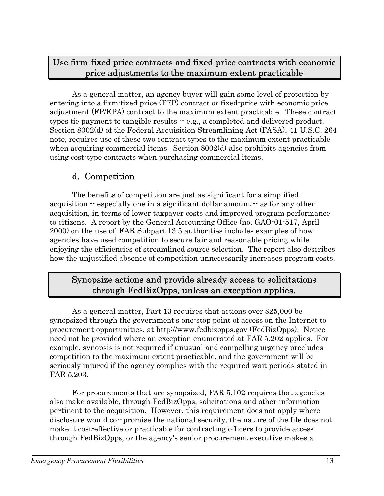#### Use firm-fixed price contracts and fixed-price contracts with economic price adjustments to the maximum extent practicable

As a general matter, an agency buyer will gain some level of protection by entering into a firm-fixed price (FFP) contract or fixed-price with economic price adjustment (FP/EPA) contract to the maximum extent practicable. These contract types tie payment to tangible results -- e.g., a completed and delivered product. Section 8002(d) of the Federal Acquisition Streamlining Act (FASA), 41 U.S.C. 264 note, requires use of these two contract types to the maximum extent practicable when acquiring commercial items. Section 8002(d) also prohibits agencies from using cost-type contracts when purchasing commercial items.

## d. Competition

The benefits of competition are just as significant for a simplified acquisition  $\cdot$  especially one in a significant dollar amount  $\cdot$  as for any other acquisition, in terms of lower taxpayer costs and improved program performance to citizens. A report by the General Accounting Office (no. GAO-01-517, April 2000) on the use of FAR Subpart 13.5 authorities includes examples of how agencies have used competition to secure fair and reasonable pricing while enjoying the efficiencies of streamlined source selection. The report also describes how the unjustified absence of competition unnecessarily increases program costs.

#### Synopsize actions and provide already access to solicitations through FedBizOpps, unless an exception applies.

As a general matter, Part 13 requires that actions over \$25,000 be synopsized through the government's one-stop point of access on the Internet to procurement opportunities, at http://www.fedbizopps.gov (FedBizOpps). Notice need not be provided where an exception enumerated at FAR 5.202 applies. For example, synopsis is not required if unusual and compelling urgency precludes competition to the maximum extent practicable, and the government will be seriously injured if the agency complies with the required wait periods stated in FAR 5.203.

For procurements that are synopsized, FAR 5.102 requires that agencies also make available, through FedBizOpps, solicitations and other information pertinent to the acquisition. However, this requirement does not apply where disclosure would compromise the national security, the nature of the file does not make it cost-effective or practicable for contracting officers to provide access through FedBizOpps, or the agency's senior procurement executive makes a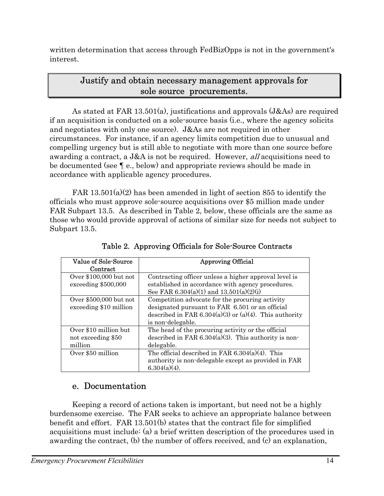written determination that access through FedBizOpps is not in the government's interest.

#### Justify and obtain necessary management approvals for sole source procurements.

As stated at FAR 13.501(a), justifications and approvals (J&As) are required if an acquisition is conducted on a sole-source basis (i.e., where the agency solicits and negotiates with only one source). J&As are not required in other circumstances. For instance, if an agency limits competition due to unusual and compelling urgency but is still able to negotiate with more than one source before awarding a contract, a J&A is not be required. However, all acquisitions need to be documented (see ¶ e., below) and appropriate reviews should be made in accordance with applicable agency procedures.

FAR  $13.501(a)(2)$  has been amended in light of section 855 to identify the officials who must approve sole-source acquisitions over \$5 million made under FAR Subpart 13.5. As described in Table 2, below, these officials are the same as those who would provide approval of actions of similar size for needs not subject to Subpart 13.5.

| Value of Sole-Source<br>Contract                       | <b>Approving Official</b>                                                                                                                                                         |
|--------------------------------------------------------|-----------------------------------------------------------------------------------------------------------------------------------------------------------------------------------|
| Over $$100,000$ but not<br>exceeding \$500,000         | Contracting officer unless a higher approval level is<br>established in accordance with agency procedures.<br>See FAR 6.304(a)(1) and 13.501(a)(2)(i)                             |
| Over \$500,000 but not<br>exceeding \$10 million       | Competition advocate for the procuring activity<br>designated pursuant to FAR 6.501 or an official<br>described in FAR 6.304(a)(3) or (a)(4). This authority<br>is non-delegable. |
| Over \$10 million but<br>not exceeding \$50<br>million | The head of the procuring activity or the official<br>described in FAR $6.304(a)(3)$ . This authority is non-<br>delegable.                                                       |
| Over \$50 million                                      | The official described in FAR $6.304(a)(4)$ . This<br>authority is non-delegable except as provided in FAR<br>$6.304(a)(4)$ .                                                     |

Table 2. Approving Officials for Sole-Source Contracts

## e. Documentation

Keeping a record of actions taken is important, but need not be a highly burdensome exercise. The FAR seeks to achieve an appropriate balance between benefit and effort. FAR 13.501(b) states that the contract file for simplified acquisitions must include: (a) a brief written description of the procedures used in awarding the contract, (b) the number of offers received, and (c) an explanation,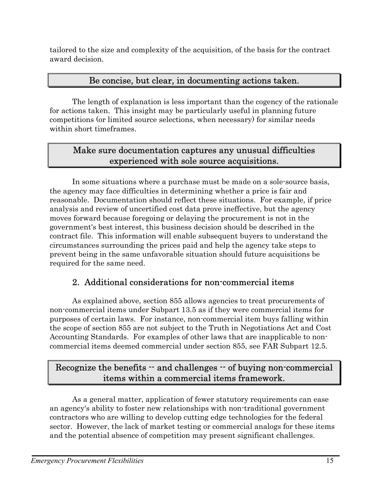tailored to the size and complexity of the acquisition, of the basis for the contract award decision.

#### Be concise, but clear, in documenting actions taken.

The length of explanation is less important than the cogency of the rationale for actions taken. This insight may be particularly useful in planning future competitions (or limited source selections, when necessary) for similar needs within short timeframes.

#### Make sure documentation captures any unusual difficulties experienced with sole source acquisitions.

In some situations where a purchase must be made on a sole-source basis, the agency may face difficulties in determining whether a price is fair and reasonable. Documentation should reflect these situations. For example, if price analysis and review of uncertified cost data prove ineffective, but the agency moves forward because foregoing or delaying the procurement is not in the government's best interest, this business decision should be described in the contract file. This information will enable subsequent buyers to understand the circumstances surrounding the prices paid and help the agency take steps to prevent being in the same unfavorable situation should future acquisitions be required for the same need.

## 2. Additional considerations for non-commercial items

As explained above, section 855 allows agencies to treat procurements of non-commercial items under Subpart 13.5 as if they were commercial items for purposes of certain laws. For instance, non-commercial item buys falling within the scope of section 855 are not subject to the Truth in Negotiations Act and Cost Accounting Standards. For examples of other laws that are inapplicable to noncommercial items deemed commercial under section 855, see FAR Subpart 12.5.

## Recognize the benefits -- and challenges -- of buying non-commercial items within a commercial items framework.

As a general matter, application of fewer statutory requirements can ease an agency's ability to foster new relationships with non-traditional government contractors who are willing to develop cutting edge technologies for the federal sector. However, the lack of market testing or commercial analogs for these items and the potential absence of competition may present significant challenges.